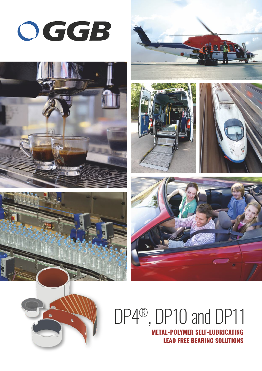













# $DP4<sup>®</sup>$ ,  $DP10$  and  $DP11$



**METAL-POLYMER SELF-LUBRICATING LEAD FREE BEARING SOLUTIONS**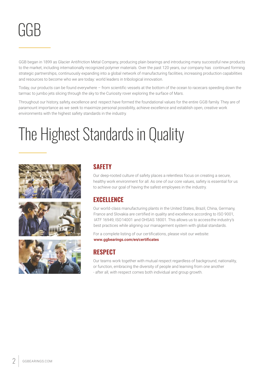

GGB began in 1899 as Glacier Antifriction Metal Company, producing plain bearings and introducing many successful new products to the market, including internationally recognized polymer materials. Over the past 120 years, our company has continued forming strategic partnerships, continuously expanding into a global network of manufacturing facilities, increasing production capabilities and resources to become who we are today: world leaders in tribological innovation.

Today, our products can be found everywhere – from scientific vessels at the bottom of the ocean to racecars speeding down the tarmac to jumbo jets slicing through the sky to the Curiosity rover exploring the surface of Mars.

Throughout our history, safety, excellence and respect have formed the foundational values for the entire GGB family. They are of paramount importance as we seek to maximize personal possibility, achieve excellence and establish open, creative work environments with the highest safety standards in the industry.

## The Highest Standards in Quality







### **SAFETY**

Our deep-rooted culture of safety places a relentless focus on creating a secure, healthy work environment for all. As one of our core values, safety is essential for us to achieve our goal of having the safest employees in the industry.

### **EXCELLENCE**

Our world-class manufacturing plants in the United States, Brazil, China, Germany, France and Slovakia are certified in quality and excellence according to ISO 9001, IATF 16949, ISO 14001 and OHSAS 18001. This allows us to access the industry's best practices while aligning our management system with global standards.

[For a complete listing of our certifications, please visit our](www.ggbearings.com/en/company/certificates) website: **<www.ggbearings.com/en/certificates>**

### **RESPECT**

Our teams work together with mutual respect regardless of background, nationality, or function, embracing the diversity of people and learning from one another - after all, with respect comes both individual and group growth.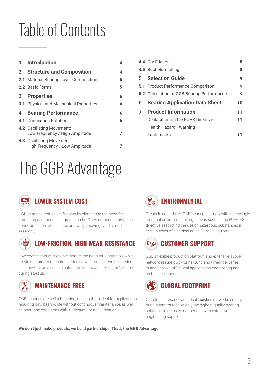## Table of Contents

|              | 1 Introduction                                                     | 4  |
|--------------|--------------------------------------------------------------------|----|
| $\mathbf{2}$ | <b>Structure and Composition</b>                                   | 4  |
|              | 2.1 Material Bearing Layer Composition                             | 5. |
|              | 2.2 Basic Forms                                                    | 5  |
| 3            | <b>Properties</b>                                                  | 6  |
|              | <b>3.1</b> Physical and Mechanical Properties                      | 6  |
| 4            | <b>Bearing Performance</b>                                         | 6  |
|              | 4.1 Continuous Rotation                                            | 6  |
|              | <b>4.2 Oscillating Movement:</b><br>Low Frequency / High Amplitude | 7  |
|              | 4.3 Oscillating Movement:<br>High Frequency / Low Amplitude        |    |

## The GGB Advantage

|   | 4.4 Dry Friction                                  | 8  |
|---|---------------------------------------------------|----|
|   | 4.5 Bush Burnishing                               | 8  |
|   | <b>5</b> Selection Guide                          | 9  |
|   | <b>5.1</b> Product Performance Comparison         | 9  |
|   | <b>5.2</b> Calculation of GGB Bearing Performance | 9  |
|   |                                                   |    |
| 6 | <b>Bearing Application Data Sheet</b>             | 10 |
| 7 | <b>Product Information</b>                        | 11 |
|   | Declaration on the RoHS Directive                 | 11 |
|   | Health Hazard - Warning                           |    |



Greaseless, lead-free GGB bearings comply with increasingly stringent environmental regulations such as the EU RoHS directive restricting the use of hazardous substances in certain types of electrical and electronic equipment.

#### **LAJ CUSTOMER SUPPORT**

GGB's flexible production platform and extensive supply network assure quick turnaround and timely deliveries. In addition, we offer local applications engineering and technical support.



Our global presence and local logistics networks ensure our customers receive only the highest quality bearing solutions, in a timely manner and with extensive engineering support.

**We don't just make products, we build partnerships. That's the GGB Advantage.**



### **LOWER SYSTEM COST**

GGB bearings reduce shaft costs by eliminating the need for hardening and machining grease paths. Their compact, one-piece construction provides space and weight savings and simplifies assembly.



## **LOW-FRICTION, HIGH WEAR RESISTANCE**

Low coefficients of friction eliminate the need for lubrication, while providing smooth operation, reducing wear and extending service life. Low-friction also eliminates the effects of stick-slip or "stiction" during start up.



requiring long bearing life without continuous maintenance, as well as operating conditions with inadequate or no lubrication.

GGB bearings are self-lubricating, making them ideal for applications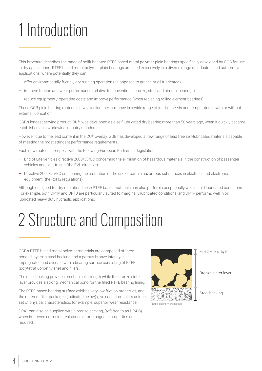## 1 Introduction

This brochure describes the range of selflubricated PTFE based metal-polymer plain bearings specifically developed by GGB for use in dry applications. PTFE based metal-polymer plain bearings are used extensively in a diverse range of industrial and automotive applications, where potentially they can:

- offer environmentally friendly dry running operation (as opposed to grease or oil Iubricated)
- improve friction and wear performance (relative to conventional bronze, steel and bimetal bearings)
- reduce equipment / operating costs and improve performance (when replacing rolling element bearings)

These GGB plain bearing materials give excellent performance in a wide range of loads, speeds and temperatures; with or without external lubrication.

GGB's longest serving product, DU®, was developed as a self-lubricated dry bearing more than 50 years ago, when it quickly became established as a worldwide industry standard.

However, due to the lead content in the DU® overlay, GGB has developed a new range of lead free self-lubricated materials capable of meeting the most stringent performance requirements.

Each new material complies with the following European Parliament legislation:

- End of Life vehicles directive 2000/53/EC concerning the elimination of hazardous materials in the construction of passenger vehicles and light trucks (the EVL directive).
- Directive 2002/95/EC concerning the restriction of the use of certain hazardous substances in electrical and electronic equipment (the RoHS regulations).

Although designed for dry operation, these PTFE based materials can also perform exceptionally well in fluid lubricated conditions. For example, both DP4® and DP10 are particularly suited to marginally lubricated conditions, and DP4® performs well in oil lubricated heavy duty hydraulic applications.

## 2 Structure and Composition

GGB's PTFE based metal-polymer materials are composed of three bonded layers: a steel backing and a porous bronze interlayer, impregnated and overlaid with a bearing surface consisting of PTFE (polytetrafluoroethylene) and fillers.

The steel backing provides mechanical strength while the bronze sinter layer provides a strong mechanical bond for the filled PTFE bearing lining.

The PTFE-based bearing surface exhibits very low friction properties, and the different filler packages (indicated below) give each product its unique set of physical characteristics, for example, superior wear resistance.

DP4® can also be supplied with a bronze backing, (referred to as DP4-B) when improved corrosion resistance or antimagnetic properties are required.



Figure 1: DP4 microsection

Filled FTFE layer

Bronze sinter layer

Steel backing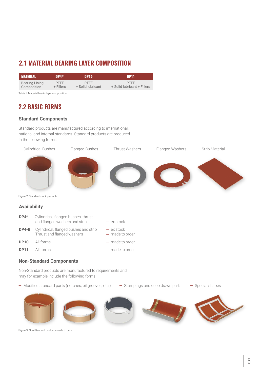## **2.1 MATERIAL BEARING LAYER COMPOSITION**

| <b>MATERIAL</b> | <b>np4®</b> | DP <sub>10</sub>  | <b>DP11</b>                 |
|-----------------|-------------|-------------------|-----------------------------|
| Bearing Lining  | <b>PTFF</b> | PTFF              | <b>PTFF</b>                 |
| Composition     | $+$ Fillers | + Solid lubricant | + Solid lubricant + Fillers |

Table 1: Material bearin layer composition

## **2.2 BASIC FORMS**

#### **Standard Components**

Standard products are manufactured according to international, national and internal standards. Standard products are produced in the following forms:



Figure 2: Standard stock products

#### **Availability**

| DP4®        | Cylindrical, flanged bushes, thrust<br>and flanged washers and strip | $-$ ex stock                      |
|-------------|----------------------------------------------------------------------|-----------------------------------|
| $DP4-B$     | Cylindrical, flanged bushes and strip<br>Thrust and flanged washers  | $-$ ex stock<br>$-$ made to order |
| <b>DP10</b> | All forms                                                            | $-$ made to order                 |
| <b>DP11</b> | All forms                                                            | $-$ made to order                 |

#### **Non-Standard Components**

Non-Standard products are manufactured to requirements and may for example include the following forms:

— Modified standard parts (notches, oil grooves, etc.) — Stampings and deep drawn parts — Special shapes



Figure 3: Non-Standard products made to order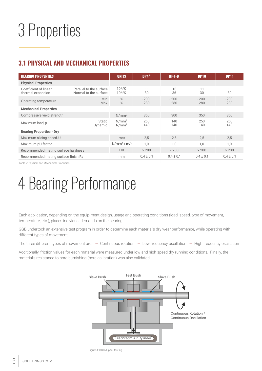## 3 Properties

## **3.1 PHYSICAL AND MECHANICAL PROPERTIES**

| <b>BEARING PROPERTIES</b>                        | <b>UNITS</b>                                     | $DP4^{\circledcirc}$          | $DP4-B$       | <b>DP10</b>   | <b>DP11</b>   |               |
|--------------------------------------------------|--------------------------------------------------|-------------------------------|---------------|---------------|---------------|---------------|
| <b>Physical Properties</b>                       |                                                  |                               |               |               |               |               |
| Coefficient of linear<br>thermal expansion       | Parallel to the surface<br>Normal to the surface | $10^{-6}$ /K<br>$10^{-6}$ /K  | 11<br>30      | 18<br>36      | 11<br>30      | 11<br>30      |
| Operating temperature                            | <b>Min</b><br>Max                                | $^{\circ}$ C<br>$^{\circ}$ C  | $-200$<br>280 | $-200$<br>280 | $-200$<br>280 | $-200$<br>280 |
| <b>Mechanical Properties</b>                     |                                                  |                               |               |               |               |               |
| Compressive yield strength                       |                                                  | $N/mm^2$                      | 350           | 300           | 350           | 350           |
| Maximum load, p                                  | Static<br>Dynamic                                | $N/mm^2$<br>N/mm <sup>2</sup> | 250<br>140    | 140<br>140    | 250<br>140    | 250<br>140    |
| <b>Bearing Properties - Dry</b>                  |                                                  |                               |               |               |               |               |
| Maximum sliding speed, U                         |                                                  | m/s                           | 2,5           | 2,5           | 2.5           | 2,5           |
| Maximum pU factor                                | N/mm <sup>2</sup> x m/s                          | 1,0                           | 1.0           | 1.0           | 1,0           |               |
| Recommended mating surface hardness              | HB                                               | > 200                         | > 200         | > 200         | > 200         |               |
| Recommended mating surface finish R <sub>a</sub> | mm                                               | $0.4 \pm 0.1$                 | $0.4 \pm 0.1$ | $0.4 \pm 0.1$ | $0.4 \pm 0.1$ |               |

Table 2: Physical and Mechanical Properties

## 4 Bearing Performance

Each application, depending on the equip-ment design, usage and operating conditions (load, speed, type of movement, temperature, etc.), places individual demands on the bearing.

GGB undertook an extensive test program in order to determine each material's dry wear performance, while operating with different types of movement.

The three different types of movement are:  $-$  Continuous rotation  $-$  Low frequency oscillation  $-$  High frequency oscillation

Additionally, friction values for each material were measured under low and high speed dry running conditions. Finally, the material's resistance to bore burnishing (bore calibration) was also validated.



Figure 4: GGB Jupiter test rig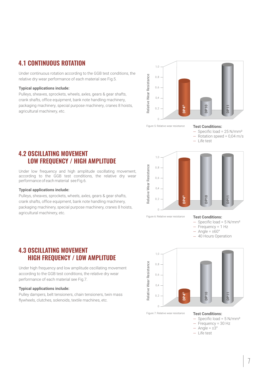### **4.1 CONTINUOUS ROTATION**

Under continuous rotation according to the GGB test conditions, the relative dry wear performance of each material see Fig.5.

#### **Typical applications include:**

Pulleys, sheaves, sprockets, wheels, axles, gears & gear shafts, crank shafts, office equipment, bank note handling machinery, packaging machinery, special purpose machinery, cranes 8 hoists, agricultural machinery, etc.



Figure 5: Relative wear resistance

#### **Test Conditions:**

- Specific load = 25 N/mm²
- Rotation speed = 0,04 m/s — Life test

### **4.2 OSCILLATING MOVEMENT LOW FREQUENCY / HIGH AMPLITUDE**

Under low frequency and high amplitude oscillating movement, according to the GGB test conditions, the relative dry wear performance of each material see Fig.6.

#### **Typical applications include:**

Pulleys, sheaves, sprockets, wheels, axles, gears & gear shafts, crank shafts, office equipment, bank note handling machinery, packaging machinery, special purpose machinery, cranes 8 hoists, agricultural machinery, etc.



Figure 6: Relative wear resistance

#### **Test Conditions:** Specific load =  $5$  N/mm<sup>2</sup>

- Frequency = 1 Hz
- $-$  Angle =  $\pm 60^\circ$
- 40 Hours Operation

## **4.3 OSCILLATING MOVEMENT HIGH FREQUENCY / LOW AMPLITUDE**

Under high frequency and low amplitude oscillating movement according to the GGB test conditions, the relative dry wear performance of each material see Fig.7.

#### **Typical applications include:**

Pulley dampers, belt tensioners, chain tensioners, twin mass flywheels, clutches, solenoids, textile machines, etc.



Figure 7: Relative wear resistance

#### **Test Conditions:**

- $-$  Specific load = 5 N/mm<sup>2</sup>
- $-$  Frequency = 30 Hz
- $-$  Angle =  $\pm 3^{\circ}$
- Life test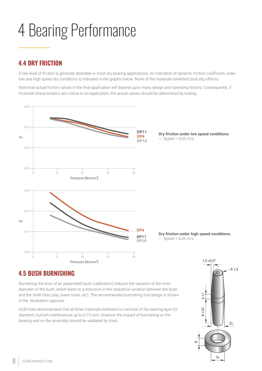## 4 Bearing Performance

### **4.4 DRY FRICTION**

A low level of friction is generally desirable in most dry bearing applications. An indication of dynamic friction coefficient under low and high speed dry conditions is indicated in the graphs below. None of the materials exhibited stick-slip effects.

Note that actual friction values in the final application will depend upon many design and operating factors. Consequently, if frictional characteristics are critical to an application, the actual vaIues should be determined by testing.



### **4.5 BUSH BURNISHING**

Burnishing the bore of an assembled bush (calibration) reduces the variation of the inner diameter of the bush, which leads to a reduction in the clearance variation between the bush and the shaft (less play, lower noise, etc). The recommended burnishing tool design is shown in the illustration opposite.

GGB trials demonstrated that all three materials exhibited no removal of the bearing layer for diametric burnish interferences up to 0,15 mm. However the impact of burnishing on the bearing and on the assembly should be validated by trials.

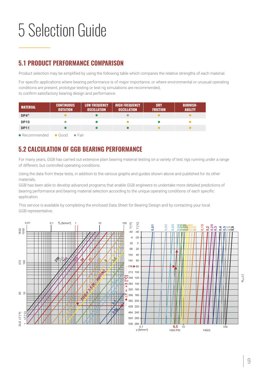## 5 Selection Guide

## **5.1 PRODUCT PERFORMANCE COMPARISON**

Product selection may be simplified by using the following table which compares the relative strengths of each material.

For specific applications where bearing performance is of major importance, or where environmental or unusual operating conditions are present, prototype testing or test rig simulations are recommended, to confirm satisfactory bearing design and performance.

| <b>MATERIAL</b>       | <b>CONTINUOUS</b><br><b>ROTATION</b> | <b>LOW FREQUENCY</b><br><b>OSCILLATION</b> | <b>HIGH FREQUENCY</b><br><b>OSCILLATION</b> | <b>DRY</b><br><b>FRICTION</b> | <b>BURNISH-</b><br><b>ABILITY</b> |
|-----------------------|--------------------------------------|--------------------------------------------|---------------------------------------------|-------------------------------|-----------------------------------|
| $DP4^{\circledR}$     |                                      |                                            |                                             |                               |                                   |
| <b>DP10</b>           |                                      |                                            |                                             |                               |                                   |
| <b>DP11</b>           |                                      |                                            |                                             |                               |                                   |
| $\bullet$ Recommended | $\bullet$ Good<br>$\bullet$ Fair     |                                            |                                             |                               |                                   |

## **5.2 CALCULATION OF GGB BEARING PERFORMANCE**

For many years, GGB has carried out extensive plain bearing material testing on a variety of test rigs running under a range of different, but controlled operating conditions.

Using the data from these tests, in addition to the various graphs and guides shown above and published for its other materials,

GGB has been able to develop advanced programs that enable GGB engineers to undertake more detailed predictions of bearing performance and bearing material selection according to the unique operating conditions of each specific application.

This service is available by completing the enclosed Data Sheet for Bearing Design and by contacting your local GGB representative.

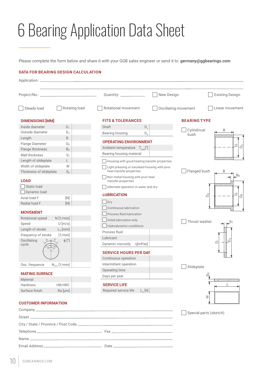## 6 Bearing Application Data Sheet

Please complete the form below and share it with your GGB sales engineer or send it to: **germany@ggbearings.com**

#### **DATA FOR BEARING DESIGN CALCULATION**

|                             |                          | Quantity: ______________                                     | New Design<br><b>Existing Design</b>                               |
|-----------------------------|--------------------------|--------------------------------------------------------------|--------------------------------------------------------------------|
| Steady load                 | Rotating load            | Rotational movement                                          | Oscillating movement<br>Linear movement                            |
| <b>DIMENSIONS [MM]</b>      |                          | <b>FITS &amp; TOLERANCES</b>                                 | <b>BEARING TYPE</b>                                                |
| Inside diameter             | $D_i$                    | Shaft<br>$D_{1}$                                             |                                                                    |
| Outside diameter            | $D_{o}$                  | Bearing housing<br>$D_{H}$                                   | Cylindrical<br>В<br>bush                                           |
| Length                      | B                        |                                                              |                                                                    |
| Flange Diameter             | $D_{fl}$                 | <b>OPERATING ENVIRONMENT</b>                                 | ő<br>Po                                                            |
| Flange thickness            | $B_{fl}$                 | Ambient temperature $T_{amb}[^{\circ}]$                      |                                                                    |
| Wall thickness              | $S_{\mathrm{T}}$         | Bearing housing material                                     |                                                                    |
| Length of slideplate        | L                        | Housing with good heating transfer properties                |                                                                    |
| Width of slideplate         | W                        | Light pressing or insulated housing with poor                |                                                                    |
| Thickness of slideplate     | $S_{S}$                  | heat transfer properties<br>Non metal housing with poor heat | Flanged bush<br>В<br>$B_{fl}$                                      |
| <b>LOAD</b>                 |                          | transfer properties                                          |                                                                    |
| Static load                 |                          | Alternate operation in water and dry                         |                                                                    |
| Dynamic load                |                          | <b>LUBRICATION</b>                                           | ő<br>$\mathsf{D}_\mathsf{O}^\circ$<br>$\bar{\tilde{\vartriangle}}$ |
| Axial load F                | $[N]$                    | $\Box$ Dry                                                   |                                                                    |
| Radial load F               | $[N]$                    | Continuous lubrication                                       |                                                                    |
| <b>MOVEMENT</b>             |                          | Process fluid lubrication                                    |                                                                    |
| Rotational speed            | N[1/min]                 | Initial lubrication only                                     |                                                                    |
| Speed                       | $U$ [m/s]                |                                                              | Thrust washer                                                      |
| Length of stroke            | $L_s$ [mm]               | Hydrodynamic conditions<br>Process fluid                     |                                                                    |
| Frequency of stroke         | [1/min]                  |                                                              |                                                                    |
| Oscillating                 | $\phi$ [°]               | Lubricant                                                    | $\overline{C}$<br>ة                                                |
| cycle                       |                          | η[mPas]<br>Dynamic viscosity                                 |                                                                    |
|                             |                          | <b>SERVICE HOURS PER DAY</b>                                 |                                                                    |
|                             |                          | Continuous operation                                         |                                                                    |
| Osc. frequence              | $N_{\text{osz}}$ [1/min] | Intermittent operation                                       |                                                                    |
|                             |                          | Operating time                                               | Slideplate                                                         |
| <b>MATING SURFACE</b>       |                          | Days per year                                                | ω<br>$\sim$                                                        |
| Material                    |                          |                                                              | TIII III III III III III III II                                    |
| <b>Hardness</b>             | HB/HRC                   | <b>SERVICE LIFE</b>                                          |                                                                    |
| Surface finish              | Ra [µm]                  | $L_{\rm H}$ [h]<br>Required service life                     |                                                                    |
| <b>CUSTOMER INFORMATION</b> |                          |                                                              | $\geq$                                                             |
|                             |                          |                                                              | Special parts (sketch)                                             |
|                             |                          |                                                              |                                                                    |
|                             |                          |                                                              |                                                                    |
|                             |                          |                                                              |                                                                    |
|                             |                          |                                                              |                                                                    |
|                             |                          |                                                              |                                                                    |

Email Address Date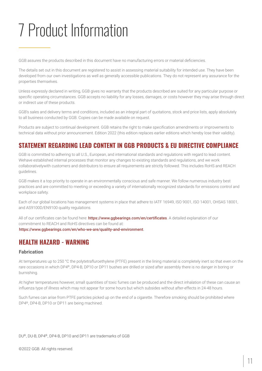## 7 Product Information

GGB assures the products described in this document have no manufacturing errors or material deficiencies.

The details set out in this document are registered to assist in assessing material suitability for intended use. They have been developed from our own investigations as well as generally accessible publications. They do not represent any assurance for the properties themselves.

Unless expressly declared in writing, GGB gives no warranty that the products described are suited for any particular purpose or specific operating circumstances. GGB accepts no liability for any losses, damages, or costs however they may arise through direct or indirect use of these products.

GGB's sales and delivery terms and conditions, included as an integral part of quotations, stock and price lists, apply absolutely to all business conducted by GGB. Copies can be made available on request.

Products are subject to continual development. GGB retains the right to make specification amendments or improvements to technical data without prior announcement. Edition 2022 (this edition replaces earlier editions which hereby lose their validity).

### **STATEMENT REGARDING LEAD CONTENT IN GGB PRODUCTS & EU DIRECTIVE COMPLIANCE**

GGB is committed to adhering to all U.S., European, and international standards and regulations with regard to lead content. Wehave established internal processes that monitor any changes to existing standards and regulations, and we work collaborativelywith customers and distributors to ensure all requirements are strictly followed. This includes RoHS and REACH guidelines.

GGB makes it a top priority to operate in an environmentally conscious and safe manner. We follow numerous industry best practices and are committed to meeting or exceeding a variety of internationally recognized standards for emissions control and workplace safety.

Each of our global locations has management systems in place that adhere to IATF 16949, ISO 9001, ISO 14001, OHSAS 18001, and AS9100D/EN9100 quality regulations.

All of our certificates can be found here: <https://www.ggbearings.com/en/certificates>. A detailed explanation of our commitment to REACH and RoHS directives can be found at: <https://www.ggbearings.com/en/who-we-are/quality-and-environment>[.](https://www.ggbearings.com/en/who-we-are/quality-and-environment)

### **HEALTH HAZARD - WARNING**

#### **Fabrication**

At temperatures up to 250 °C the polytetrafluroethylene (PTFE) present in the lining material is completely inert so that even on the rare occasions in which DP4®, DP4-B, DP10 or DP11 bushes are drilled or sized after assembly there is no danger in boring or burnishing.

At higher temperatures however, small quantities of toxic fumes can be produced and the direct inhalation of these can cause an influenza type of illness which may not appear for some hours but which subsides without after-effects in 24-48 hours.

Such fumes can arise from PTFE particles picked up on the end of a cigarette. Therefore smoking should be prohibited where DP4®, DP4-B, DP10 or DP11 are being machined.

DU®, DU-B, DP4®, DP4-B, DP10 and DP11 are trademarks of GGB